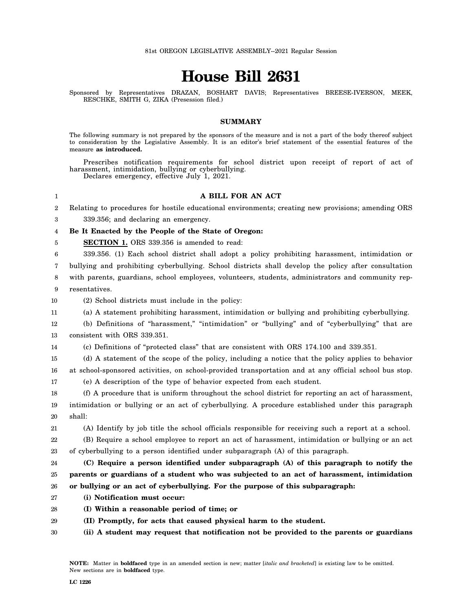## **House Bill 2631**

Sponsored by Representatives DRAZAN, BOSHART DAVIS; Representatives BREESE-IVERSON, MEEK, RESCHKE, SMITH G, ZIKA (Presession filed.)

## **SUMMARY**

The following summary is not prepared by the sponsors of the measure and is not a part of the body thereof subject to consideration by the Legislative Assembly. It is an editor's brief statement of the essential features of the measure **as introduced.**

Prescribes notification requirements for school district upon receipt of report of act of harassment, intimidation, bullying or cyberbullying. Declares emergency, effective July 1, 2021.

## **A BILL FOR AN ACT**

2 Relating to procedures for hostile educational environments; creating new provisions; amending ORS

3 339.356; and declaring an emergency.

1

## 4 **Be It Enacted by the People of the State of Oregon:**

5 **SECTION 1.** ORS 339.356 is amended to read:

6 339.356. (1) Each school district shall adopt a policy prohibiting harassment, intimidation or

7 bullying and prohibiting cyberbullying. School districts shall develop the policy after consultation

8 9 with parents, guardians, school employees, volunteers, students, administrators and community representatives.

10 (2) School districts must include in the policy:

11 (a) A statement prohibiting harassment, intimidation or bullying and prohibiting cyberbullying.

12 13 (b) Definitions of "harassment," "intimidation" or "bullying" and of "cyberbullying" that are consistent with ORS 339.351.

14 (c) Definitions of "protected class" that are consistent with ORS 174.100 and 339.351.

15 16 (d) A statement of the scope of the policy, including a notice that the policy applies to behavior at school-sponsored activities, on school-provided transportation and at any official school bus stop.

17 (e) A description of the type of behavior expected from each student.

18 19 20 (f) A procedure that is uniform throughout the school district for reporting an act of harassment, intimidation or bullying or an act of cyberbullying. A procedure established under this paragraph shall:

21 (A) Identify by job title the school officials responsible for receiving such a report at a school.

22 23 (B) Require a school employee to report an act of harassment, intimidation or bullying or an act of cyberbullying to a person identified under subparagraph (A) of this paragraph.

24 25 26 **(C) Require a person identified under subparagraph (A) of this paragraph to notify the parents or guardians of a student who was subjected to an act of harassment, intimidation or bullying or an act of cyberbullying. For the purpose of this subparagraph:**

- 27 **(i) Notification must occur:**
- 28 **(I) Within a reasonable period of time; or**
- 29 **(II) Promptly, for acts that caused physical harm to the student.**
- 30 **(ii) A student may request that notification not be provided to the parents or guardians**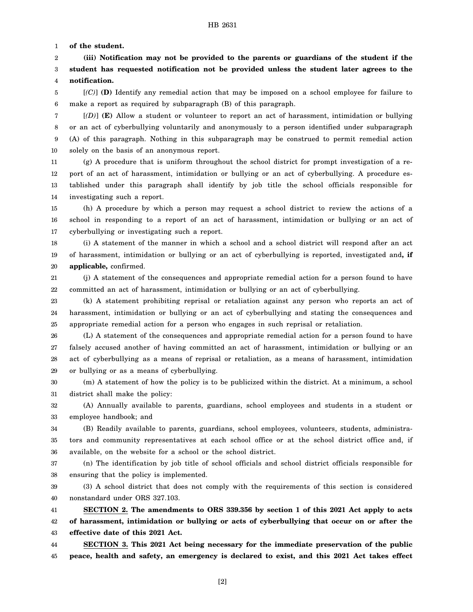1 **of the student.**

2 3 4 **(iii) Notification may not be provided to the parents or guardians of the student if the student has requested notification not be provided unless the student later agrees to the notification.**

5 6 [*(C)*] **(D)** Identify any remedial action that may be imposed on a school employee for failure to make a report as required by subparagraph (B) of this paragraph.

7 8 9 10 [*(D)*] **(E)** Allow a student or volunteer to report an act of harassment, intimidation or bullying or an act of cyberbullying voluntarily and anonymously to a person identified under subparagraph (A) of this paragraph. Nothing in this subparagraph may be construed to permit remedial action solely on the basis of an anonymous report.

11 12 13 14 (g) A procedure that is uniform throughout the school district for prompt investigation of a report of an act of harassment, intimidation or bullying or an act of cyberbullying. A procedure established under this paragraph shall identify by job title the school officials responsible for investigating such a report.

15 16 17 (h) A procedure by which a person may request a school district to review the actions of a school in responding to a report of an act of harassment, intimidation or bullying or an act of cyberbullying or investigating such a report.

18 19 20 (i) A statement of the manner in which a school and a school district will respond after an act of harassment, intimidation or bullying or an act of cyberbullying is reported, investigated and**, if applicable,** confirmed.

21 22 (j) A statement of the consequences and appropriate remedial action for a person found to have committed an act of harassment, intimidation or bullying or an act of cyberbullying.

23 24 25 (k) A statement prohibiting reprisal or retaliation against any person who reports an act of harassment, intimidation or bullying or an act of cyberbullying and stating the consequences and appropriate remedial action for a person who engages in such reprisal or retaliation.

26 27 28 29 (L) A statement of the consequences and appropriate remedial action for a person found to have falsely accused another of having committed an act of harassment, intimidation or bullying or an act of cyberbullying as a means of reprisal or retaliation, as a means of harassment, intimidation or bullying or as a means of cyberbullying.

30 31 (m) A statement of how the policy is to be publicized within the district. At a minimum, a school district shall make the policy:

32 33 (A) Annually available to parents, guardians, school employees and students in a student or employee handbook; and

34 35 36 (B) Readily available to parents, guardians, school employees, volunteers, students, administrators and community representatives at each school office or at the school district office and, if available, on the website for a school or the school district.

37 38 (n) The identification by job title of school officials and school district officials responsible for ensuring that the policy is implemented.

39 40 (3) A school district that does not comply with the requirements of this section is considered nonstandard under ORS 327.103.

41 42 43 **SECTION 2. The amendments to ORS 339.356 by section 1 of this 2021 Act apply to acts of harassment, intimidation or bullying or acts of cyberbullying that occur on or after the effective date of this 2021 Act.**

44 45 **SECTION 3. This 2021 Act being necessary for the immediate preservation of the public peace, health and safety, an emergency is declared to exist, and this 2021 Act takes effect**